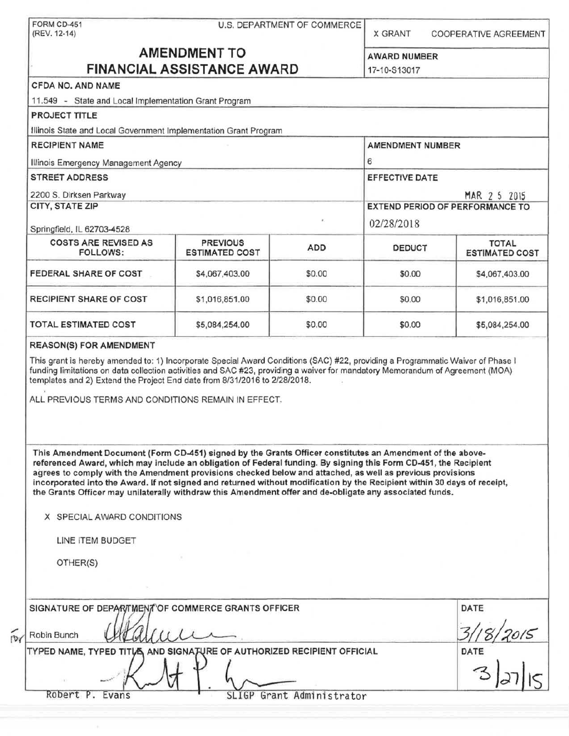|                                                                                                                                                                                                                                                                                                                                                                                                                                                                                                                                                                                                                                                 |                                          | U.S. DEPARTMENT OF COMMERCE | <b>X GRANT</b>                                                                  | <b>COOPERATIVE AGREEMENT</b>                                                                                                  |  |
|-------------------------------------------------------------------------------------------------------------------------------------------------------------------------------------------------------------------------------------------------------------------------------------------------------------------------------------------------------------------------------------------------------------------------------------------------------------------------------------------------------------------------------------------------------------------------------------------------------------------------------------------------|------------------------------------------|-----------------------------|---------------------------------------------------------------------------------|-------------------------------------------------------------------------------------------------------------------------------|--|
|                                                                                                                                                                                                                                                                                                                                                                                                                                                                                                                                                                                                                                                 | <b>AMENDMENT TO</b>                      |                             |                                                                                 |                                                                                                                               |  |
| <b>FINANCIAL ASSISTANCE AWARD</b>                                                                                                                                                                                                                                                                                                                                                                                                                                                                                                                                                                                                               |                                          |                             | <b>AWARD NUMBER</b><br>17-10-S13017                                             |                                                                                                                               |  |
| CFDA NO, AND NAME                                                                                                                                                                                                                                                                                                                                                                                                                                                                                                                                                                                                                               |                                          |                             |                                                                                 |                                                                                                                               |  |
| 11.549 - State and Local Implementation Grant Program                                                                                                                                                                                                                                                                                                                                                                                                                                                                                                                                                                                           |                                          |                             |                                                                                 |                                                                                                                               |  |
| <b>PROJECT TITLE</b>                                                                                                                                                                                                                                                                                                                                                                                                                                                                                                                                                                                                                            |                                          |                             |                                                                                 |                                                                                                                               |  |
| Illinois State and Local Government Implementation Grant Program                                                                                                                                                                                                                                                                                                                                                                                                                                                                                                                                                                                |                                          |                             |                                                                                 |                                                                                                                               |  |
| <b>RECIPIENT NAME</b>                                                                                                                                                                                                                                                                                                                                                                                                                                                                                                                                                                                                                           |                                          |                             | AMENDMENT NUMBER                                                                |                                                                                                                               |  |
|                                                                                                                                                                                                                                                                                                                                                                                                                                                                                                                                                                                                                                                 |                                          |                             | 6                                                                               |                                                                                                                               |  |
| Illinois Emergency Management Agency<br><b>STREET ADDRESS</b>                                                                                                                                                                                                                                                                                                                                                                                                                                                                                                                                                                                   |                                          |                             |                                                                                 |                                                                                                                               |  |
|                                                                                                                                                                                                                                                                                                                                                                                                                                                                                                                                                                                                                                                 |                                          |                             | <b>EFFECTIVE DATE</b><br>MAR 2 5 2015<br><b>EXTEND PERIOD OF PERFORMANCE TO</b> |                                                                                                                               |  |
| 2200 S. Dirksen Parkway<br>CITY, STATE ZIP                                                                                                                                                                                                                                                                                                                                                                                                                                                                                                                                                                                                      |                                          |                             |                                                                                 |                                                                                                                               |  |
|                                                                                                                                                                                                                                                                                                                                                                                                                                                                                                                                                                                                                                                 |                                          |                             |                                                                                 |                                                                                                                               |  |
| Springfield, IL 62703-4528                                                                                                                                                                                                                                                                                                                                                                                                                                                                                                                                                                                                                      |                                          |                             | 02/28/2018                                                                      |                                                                                                                               |  |
| <b>COSTS ARE REVISED AS</b><br><b>FOLLOWS:</b>                                                                                                                                                                                                                                                                                                                                                                                                                                                                                                                                                                                                  | <b>PREVIOUS</b><br><b>ESTIMATED COST</b> | <b>ADD</b>                  | <b>DEDUCT</b>                                                                   | <b>TOTAL</b><br><b>ESTIMATED COST</b>                                                                                         |  |
| FEDERAL SHARE OF COST                                                                                                                                                                                                                                                                                                                                                                                                                                                                                                                                                                                                                           | \$4,067,403.00                           | \$0.00                      | \$0.00                                                                          | \$4,067,403.00                                                                                                                |  |
| <b>RECIPIENT SHARE OF COST</b>                                                                                                                                                                                                                                                                                                                                                                                                                                                                                                                                                                                                                  | \$1,016,851.00                           | \$0.00                      | \$0.00                                                                          | \$1,016,851.00                                                                                                                |  |
| <b>TOTAL ESTIMATED COST</b>                                                                                                                                                                                                                                                                                                                                                                                                                                                                                                                                                                                                                     | \$5,084,254.00                           | \$0.00                      | \$0.00                                                                          | \$5,084,254.00                                                                                                                |  |
|                                                                                                                                                                                                                                                                                                                                                                                                                                                                                                                                                                                                                                                 |                                          |                             |                                                                                 | funding limitations on data collection activities and SAC #23, providing a waiver for mandatory Memorandum of Agreement (MOA) |  |
|                                                                                                                                                                                                                                                                                                                                                                                                                                                                                                                                                                                                                                                 |                                          |                             |                                                                                 |                                                                                                                               |  |
| This Amendment Document (Form CD-451) signed by the Grants Officer constitutes an Amendment of the above-<br>referenced Award, which may include an obligation of Federal funding. By signing this Form CD-451, the Recipient<br>agrees to comply with the Amendment provisions checked below and attached, as well as previous provisions<br>incorporated into the Award. If not signed and returned without modification by the Recipient within 30 days of receipt,<br>the Grants Officer may unilaterally withdraw this Amendment offer and de-obligate any associated funds.<br>X SPECIAL AWARD CONDITIONS<br>LINE ITEM BUDGET<br>OTHER(S) |                                          |                             |                                                                                 |                                                                                                                               |  |
|                                                                                                                                                                                                                                                                                                                                                                                                                                                                                                                                                                                                                                                 |                                          |                             |                                                                                 | DATE                                                                                                                          |  |
| templates and 2) Extend the Project End date from 8/31/2016 to 2/28/2018.<br>ALL PREVIOUS TERMS AND CONDITIONS REMAIN IN EFFECT.<br>SIGNATURE OF DEPARTMENT OF COMMERCE GRANTS OFFICER<br>Robin Bunch                                                                                                                                                                                                                                                                                                                                                                                                                                           |                                          |                             |                                                                                 |                                                                                                                               |  |

 $\mathcal{N}$